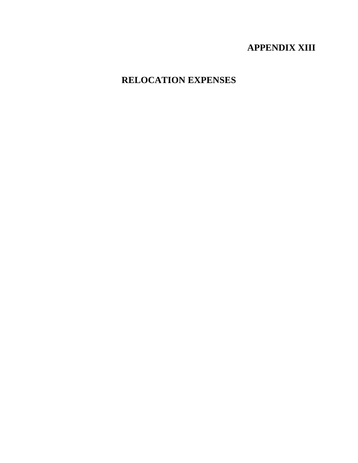# **APPENDIX XIII**

# **RELOCATION EXPENSES**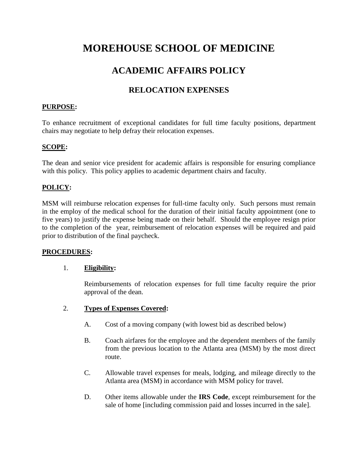# **MOREHOUSE SCHOOL OF MEDICINE**

# **ACADEMIC AFFAIRS POLICY**

## **RELOCATION EXPENSES**

### **PURPOSE:**

To enhance recruitment of exceptional candidates for full time faculty positions, department chairs may negotiate to help defray their relocation expenses.

### **SCOPE:**

The dean and senior vice president for academic affairs is responsible for ensuring compliance with this policy. This policy applies to academic department chairs and faculty.

## **POLICY:**

MSM will reimburse relocation expenses for full-time faculty only. Such persons must remain in the employ of the medical school for the duration of their initial faculty appointment (one to five years) to justify the expense being made on their behalf. Should the employee resign prior to the completion of the year, reimbursement of relocation expenses will be required and paid prior to distribution of the final paycheck.

#### **PROCEDURES:**

#### 1. **Eligibility:**

Reimbursements of relocation expenses for full time faculty require the prior approval of the dean.

#### 2. **Types of Expenses Covered:**

- A. Cost of a moving company (with lowest bid as described below)
- B. Coach airfares for the employee and the dependent members of the family from the previous location to the Atlanta area (MSM) by the most direct route.
- C. Allowable travel expenses for meals, lodging, and mileage directly to the Atlanta area (MSM) in accordance with MSM policy for travel.
- D. Other items allowable under the **IRS Code**, except reimbursement for the sale of home [including commission paid and losses incurred in the sale].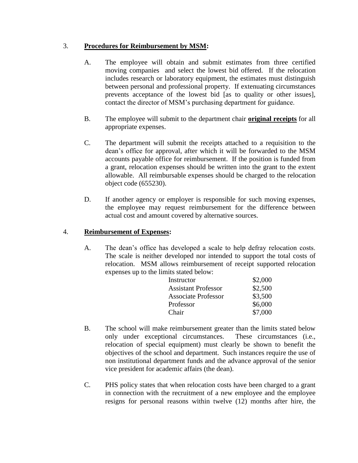## 3. **Procedures for Reimbursement by MSM:**

- A. The employee will obtain and submit estimates from three certified moving companies and select the lowest bid offered. If the relocation includes research or laboratory equipment, the estimates must distinguish between personal and professional property. If extenuating circumstances prevents acceptance of the lowest bid [as to quality or other issues], contact the director of MSM's purchasing department for guidance.
- B. The employee will submit to the department chair **original receipts** for all appropriate expenses.
- C. The department will submit the receipts attached to a requisition to the dean's office for approval, after which it will be forwarded to the MSM accounts payable office for reimbursement. If the position is funded from a grant, relocation expenses should be written into the grant to the extent allowable. All reimbursable expenses should be charged to the relocation object code (655230).
- D. If another agency or employer is responsible for such moving expenses, the employee may request reimbursement for the difference between actual cost and amount covered by alternative sources.

## 4. **Reimbursement of Expenses:**

A. The dean's office has developed a scale to help defray relocation costs. The scale is neither developed nor intended to support the total costs of relocation. MSM allows reimbursement of receipt supported relocation expenses up to the limits stated below:

| Instructor                 | \$2,000 |
|----------------------------|---------|
| <b>Assistant Professor</b> | \$2,500 |
| <b>Associate Professor</b> | \$3,500 |
| Professor                  | \$6,000 |
| Chair                      | \$7,000 |

- B. The school will make reimbursement greater than the limits stated below only under exceptional circumstances. These circumstances (i.e., relocation of special equipment) must clearly be shown to benefit the objectives of the school and department. Such instances require the use of non institutional department funds and the advance approval of the senior vice president for academic affairs (the dean).
- C. PHS policy states that when relocation costs have been charged to a grant in connection with the recruitment of a new employee and the employee resigns for personal reasons within twelve (12) months after hire, the